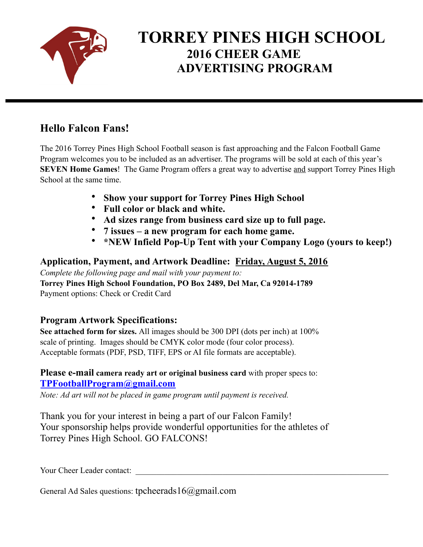

# **TORREY PINES HIGH SCHOOL 2016 CHEER GAME ADVERTISING PROGRAM**

### **Hello Falcon Fans!**

The 2016 Torrey Pines High School Football season is fast approaching and the Falcon Football Game Program welcomes you to be included as an advertiser. The programs will be sold at each of this year's **SEVEN Home Games**! The Game Program offers a great way to advertise and support Torrey Pines High School at the same time.

- **Show your support for Torrey Pines High School**
- **Full color or black and white.**
- **Ad sizes range from business card size up to full page.**
- **7 issues a new program for each home game.**
- **\*NEW Infield Pop-Up Tent with your Company Logo (yours to keep!)**

#### **Application, Payment, and Artwork Deadline: Friday, August 5, 2016**

*Complete the following page and mail with your payment to:*  **Torrey Pines High School Foundation, PO Box 2489, Del Mar, Ca 92014-1789**  Payment options: Check or Credit Card

#### **Program Artwork Specifications:**

**See attached form for sizes.** All images should be 300 DPI (dots per inch) at 100% scale of printing. Images should be CMYK color mode (four color process). Acceptable formats (PDF, PSD, TIFF, EPS or AI file formats are acceptable).

**Please e-mail camera ready art or original business card** with proper specs to: **[TPFootballProgram@gmail.com](mailto:vanho.tpfootballprogram@gmail.com)**

*Note: Ad art will not be placed in game program until payment is received.* 

Thank you for your interest in being a part of our Falcon Family! Your sponsorship helps provide wonderful opportunities for the athletes of Torrey Pines High School. GO FALCONS!

Your Cheer Leader contact:

General Ad Sales questions: tpcheerads16@gmail.com